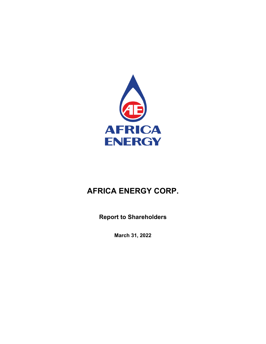

**Report to Shareholders**

**March 31, 2022**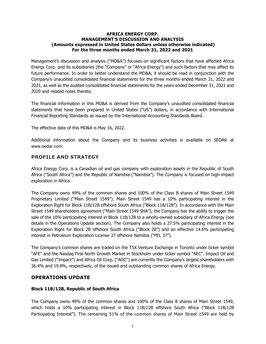#### **AFRICA ENERGY CORP. MANAGEMENT'S DISCUSSION AND ANALYSIS (Amounts expressed in United States dollars unless otherwise indicated) For the three months ended March 31, 2022 and 2021**

Management's discussion and analysis ("MD&A") focuses on significant factors that have affected Africa Energy Corp. and its subsidiaries (the "Company" or "Africa Energy") and such factors that may affect its future performance. In order to better understand the MD&A, it should be read in conjunction with the Company's unaudited consolidated financial statements for the three months ended March 31, 2022 and 2021, as well as the audited consolidated financial statements for the years ended December 31, 2021 and 2020 and related notes thereto.

The financial information in this MD&A is derived from the Company's unaudited consolidated financial statements that have been prepared in United States ("US") dollars, in accordance with International Financial Reporting Standards as issued by the International Accounting Standards Board.

The effective date of this MD&A is May 16, 2022.

Additional information about the Company and its business activities is available on SEDAR at [www.sedar.com](http://www.sedar.com/).

### **PROFILE AND STRATEGY**

Africa Energy Corp. is a Canadian oil and gas company with exploration assets in the Republic of South Africa ("South Africa") and the Republic of Namibia ("Namibia"). The Company is focused on high-impact exploration in Africa.

The Company owns 49% of the common shares and 100% of the Class B shares of Main Street 1549 Proprietary Limited ("Main Street 1549"). Main Street 1549 has a 10% participating interest in the Exploration Right for Block 11B/12B offshore South Africa ("Block 11B/12B"). In accordance with the Main Street 1549 shareholders agreement ("Main Street 1549 SHA"), the Company has the ability to trigger the sale of the 10% participating interest in Block 11B/12B to a wholly-owned subsidiary of Africa Energy (see details in the Operations Update section). The Company also holds a 27.5% participating interest in the Exploration Right for Block 2B offshore South Africa ("Block 2B") and an effective 14.6% participating interest in Petroleum Exploration License 37 offshore Namibia ("PEL 37").

The Company's common shares are traded on the TSX Venture Exchange in Toronto under ticker symbol "AFE" and the Nasdaq First North Growth Market in Stockholm under ticker symbol "AEC". Impact Oil and Gas Limited ("Impact") and Africa Oil Corp. ("AOC") are currently the Company's largest shareholders with 36.4% and 19.8%, respectively, of the issued and outstanding common shares of Africa Energy.

## **OPERATIONS UPDATE**

### **Block 11B/12B, Republic of South Africa**

The Company owns 49% of the common shares and 100% of the Class B shares of Main Street 1549, which holds a 10% participating interest in Block 11B/12B offshore South Africa ("Block 11B/12B Participating Interest"). The remaining 51% of the common shares of Main Street 1549 are held by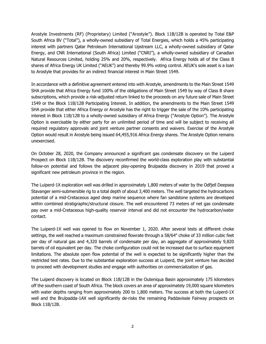Arostyle Investments (RF) (Proprietary) Limited ("Arostyle"). Block 11B/12B is operated by Total E&P South Africa BV ("Total"), a wholly-owned subsidiary of Total Energies, which holds a 45% participating interest with partners Qatar Petroleum International Upstream LLC, a wholly-owned subsidiary of Qatar Energy, and CNR International (South Africa) Limited ("CNRI"), a wholly-owned subsidiary of Canadian Natural Resources Limited, holding 25% and 20%, respectively. Africa Energy holds all of the Class B shares of Africa Energy UK Limited ("AEUK") and thereby 99.9% voting control. AEUK's sole asset is a loan to Arostyle that provides for an indirect financial interest in Main Street 1549.

In accordance with a definitive agreement entered into with Arostyle, amendments to the Main Street 1549 SHA provide that Africa Energy fund 100% of the obligations of Main Street 1549 by way of Class B share subscriptions, which provide a risk-adjusted return linked to the proceeds on any future sale of Main Street 1549 or the Block 11B/12B Participating Interest. In addition, the amendments to the Main Street 1549 SHA provide that either Africa Energy or Arostyle has the right to trigger the sale of the 10% participating interest in Block 11B/12B to a wholly-owned subsidiary of Africa Energy ("Arostyle Option"). The Arostyle Option is exercisable by either party for an unlimited period of time and will be subject to receiving all required regulatory approvals and joint venture partner consents and waivers. Exercise of the Arostyle Option would result in Arostyle being issued 64,455,916 Africa Energy shares. The Arostyle Option remains unexercised.

On October 28, 2020, the Company announced a significant gas condensate discovery on the Luiperd Prospect on Block 11B/12B. The discovery reconfirmed the world-class exploration play with substantial follow-on potential and follows the adjacent play-opening Brulpadda discovery in 2019 that proved a significant new petroleum province in the region.

The Luiperd-1X exploration well was drilled in approximately 1,800 meters of water by the Odfjell Deepsea Stavanger semi-submersible rig to a total depth of about 3,400 meters. The well targeted the hydrocarbons potential of a mid-Cretaceous aged deep marine sequence where fan sandstone systems are developed within combined stratigraphic/structural closure. The well encountered 73 meters of net gas condensate pay over a mid-Cretaceous high-quality reservoir interval and did not encounter the hydrocarbon/water contact.

The Luiperd-1X well was opened to flow on November 1, 2020. After several tests at different choke settings, the well reached a maximum constrained flowrate through a 58/64" choke of 33 million cubic feet per day of natural gas and 4,320 barrels of condensate per day, an aggregate of approximately 9,820 barrels of oil equivalent per day. The choke configuration could not be increased due to surface equipment limitations. The absolute open flow potential of the well is expected to be significantly higher than the restricted test rates. Due to the substantial exploration success at Luiperd, the joint venture has decided to proceed with development studies and engage with authorities on commercialization of gas.

The Luiperd discovery is located on Block 11B/12B in the Outeniqua Basin approximately 175 kilometers off the southern coast of South Africa. The block covers an area of approximately 19,000 square kilometers with water depths ranging from approximately 200 to 1,800 meters. The success at both the Luiperd-1X well and the Brulpadda-1AX well significantly de-risks the remaining Paddavissie Fairway prospects on Block 11B/12B.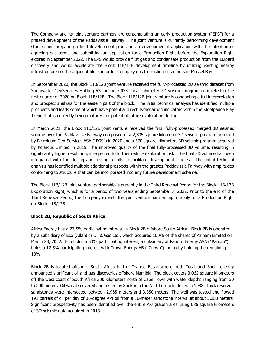The Company and its joint venture partners are contemplating an early production system ("EPS") for a phased development of the Paddavissie Fairway. The joint venture is currently performing development studies and preparing a field development plan and an environmental application with the intention of agreeing gas terms and submitting an application for a Production Right before the Exploration Right expires in September 2022. The EPS would provide first gas and condensate production from the Luiperd discovery and would accelerate the Block 11B/12B development timeline by utilizing existing nearby infrastructure on the adjacent block in order to supply gas to existing customers in Mossel Bay.

In September 2020, the Block 11B/12B joint venture received the fully-processed 2D seismic dataset from Shearwater GeoServices Holding AS for the 7,033 linear kilometer 2D seismic program completed in the first quarter of 2020 on Block 11B/12B. The Block 11B/12B joint venture is conducting a full interpretation and prospect analysis for the eastern part of the block. The initial technical analysis has identified multiple prospects and leads some of which have potential direct hydrocarbon indicators within the Kloofpadda Play Trend that is currently being matured for potential future exploration drilling.

In March 2021, the Block 11B/12B joint venture received the final fully-processed merged 3D seismic volume over the Paddavissie Fairway composed of a 2,305 square kilometer 3D seismic program acquired by Petroleum Geo-Services ASA ("PGS") in 2020 and a 570 square kilometers 3D seismic program acquired by Polarcus Limited in 2019. The improved quality of the final fully-processed 3D volume, resulting in significantly higher resolution, is expected to further reduce exploration risk. The final 3D volume has been integrated with the drilling and testing results to facilitate development studies. The initial technical analysis has identified multiple additional prospects within the greater Paddavissie Fairway with amplitudes conforming to structure that can be incorporated into any future development scheme.

The Block 11B/12B joint venture partnership is currently in the Third Renewal Period for the Block 11B/12B Exploration Right, which is for a period of two years ending September 7, 2022. Prior to the end of the Third Renewal Period, the Company expects the joint venture partnership to apply for a Production Right on Block 11B/12B.

### **Block 2B, Republic of South Africa**

Africa Energy has a 27.5% participating interest in Block 2B offshore South Africa. Block 2B is operated by a subsidiary of Eco (Atlantic) Oil & Gas Ltd., which acquired 100% of the shares of Azinam Limited on March 28, 2022. Eco holds a 50% participating interest, a subsidiary of Panoro Energy ASA ("Panoro") holds a 12.5% participating interest with Crown Energy AB ("Crown") indirectly holding the remaining 10%.

Block 2B is located offshore South Africa in the Orange Basin where both Total and Shell recently announced significant oil and gas discoveries offshore Namibia. The block covers 3,062 square kilometers off the west coast of South Africa 300 kilometers north of Cape Town with water depths ranging from 50 to 200 meters. Oil was discovered and tested by Soekor in the A-J1 borehole drilled in 1988. Thick reservoir sandstones were intersected between 2,985 meters and 3,350 meters. The well was tested and flowed 191 barrels of oil per day of 36-degree API oil from a 10-meter sandstone interval at about 3,250 meters. Significant prospectivity has been identified over the entire A-J graben area using 686 square kilometers of 3D seismic data acquired in 2013.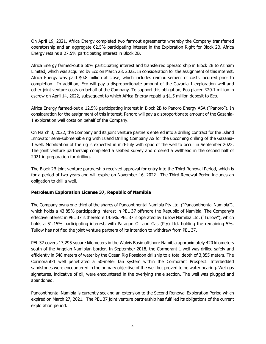On April 19, 2021, Africa Energy completed two farmout agreements whereby the Company transferred operatorship and an aggregate 62.5% participating interest in the Exploration Right for Block 2B. Africa Energy retains a 27.5% participating interest in Block 2B.

Africa Energy farmed-out a 50% participating interest and transferred operatorship in Block 2B to Azinam Limited, which was acquired by Eco on March 28, 2022. In consideration for the assignment of this interest, Africa Energy was paid \$0.8 million at close, which includes reimbursement of costs incurred prior to completion. In addition, Eco will pay a disproportionate amount of the Gazania-1 exploration well and other joint venture costs on behalf of the Company. To support this obligation, Eco placed \$20.1 million in escrow on April 14, 2022, subsequent to which Africa Energy repaid a \$1.5 million deposit to Eco.

Africa Energy farmed-out a 12.5% participating interest in Block 2B to Panoro Energy ASA ("Panoro"). In consideration for the assignment of this interest, Panoro will pay a disproportionate amount of the Gazania-1 exploration well costs on behalf of the Company.

On March 3, 2022, the Company and its joint venture partners entered into a drilling contract for the Island Innovator semi-submersible rig with Island Drilling Company AS for the upcoming drilling of the Gazania-1 well. Mobilization of the rig is expected in mid-July with spud of the well to occur in September 2022. The joint venture partnership completed a seabed survey and ordered a wellhead in the second half of 2021 in preparation for drilling.

The Block 2B joint venture partnership received approval for entry into the Third Renewal Period, which is for a period of two years and will expire on November 16, 2022. The Third Renewal Period includes an obligation to drill a well.

### **Petroleum Exploration License 37, Republic of Namibia**

The Company owns one-third of the shares of Pancontinental Namibia Pty Ltd. ("Pancontinental Namibia"), which holds a 43.85% participating interest in PEL 37 offshore the Republic of Namibia. The Company's effective interest in PEL 37 is therefore 14.6%. PEL 37 is operated by Tullow Namibia Ltd. ("Tullow"), which holds a 51.15% participating interest, with Paragon Oil and Gas (Pty) Ltd. holding the remaining 5%. Tullow has notified the joint venture partners of its intention to withdraw from PEL 37.

PEL 37 covers 17,295 square kilometers in the Walvis Basin offshore Namibia approximately 420 kilometers south of the Angolan-Namibian border. In September 2018, the Cormorant-1 well was drilled safely and efficiently in 548 meters of water by the Ocean Rig Poseidon drillship to a total depth of 3,855 meters. The Cormorant-1 well penetrated a 50-meter fan system within the Cormorant Prospect. Interbedded sandstones were encountered in the primary objective of the well but proved to be water bearing. Wet gas signatures, indicative of oil, were encountered in the overlying shale section. The well was plugged and abandoned.

Pancontinental Namibia is currently seeking an extension to the Second Renewal Exploration Period which expired on March 27, 2021. The PEL 37 joint venture partnership has fulfilled its obligations of the current exploration period.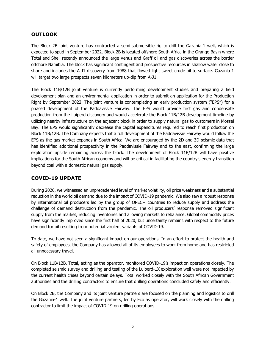## **OUTLOOK**

The Block 2B joint venture has contracted a semi-submersible rig to drill the Gazania-1 well, which is expected to spud in September 2022. Block 2B is located offshore South Africa in the Orange Basin where Total and Shell recently announced the large Venus and Graff oil and gas discoveries across the border offshore Namibia. The block has significant contingent and prospective resources in shallow water close to shore and includes the A-J1 discovery from 1988 that flowed light sweet crude oil to surface. Gazania-1 will target two large prospects seven kilometers up-dip from A-J1.

The Block 11B/12B joint venture is currently performing development studies and preparing a field development plan and an environmental application in order to submit an application for the Production Right by September 2022. The joint venture is contemplating an early production system ("EPS") for a phased development of the Paddavissie Fairway. The EPS would provide first gas and condensate production from the Luiperd discovery and would accelerate the Block 11B/12B development timeline by utilizing nearby infrastructure on the adjacent block in order to supply natural gas to customers in Mossel Bay. The EPS would significantly decrease the capital expenditures required to reach first production on Block 11B/12B. The Company expects that a full development of the Paddavissie Fairway would follow the EPS as the gas market expands in South Africa. We are encouraged by the 2D and 3D seismic data that has identified additional prospectivity in the Paddavissie Fairway and to the east, confirming the large exploration upside remaining across the block. The development of Block 11B/12B will have positive implications for the South African economy and will be critical in facilitating the country's energy transition beyond coal with a domestic natural gas supply.

## **COVID-19 UPDATE**

During 2020, we witnessed an unprecedented level of market volatility, oil price weakness and a substantial reduction in the world oil demand due to the impact of COVID-19 pandemic. We also saw a robust response by international oil producers led by the group of OPEC+ countries to reduce supply and address the challenge of demand destruction from the pandemic. The oil producers' response removed significant supply from the market, reducing inventories and allowing markets to rebalance. Global commodity prices have significantly improved since the first half of 2020, but uncertainty remains with respect to the future demand for oil resulting from potential virulent variants of COVID-19.

To date, we have not seen a significant impact on our operations. In an effort to protect the health and safety of employees, the Company has allowed all of its employees to work from home and has restricted all unnecessary travel.

On Block 11B/12B, Total, acting as the operator, monitored COVID-19's impact on operations closely. The completed seismic survey and drilling and testing of the Luiperd-1X exploration well were not impacted by the current health crises beyond certain delays. Total worked closely with the South African Government authorities and the drilling contractors to ensure that drilling operations concluded safely and efficiently.

On Block 2B, the Company and its joint venture partners are focused on the planning and logistics to drill the Gazania-1 well. The joint venture partners, led by Eco as operator, will work closely with the drilling contractor to limit the impact of COVID-19 on drilling operations.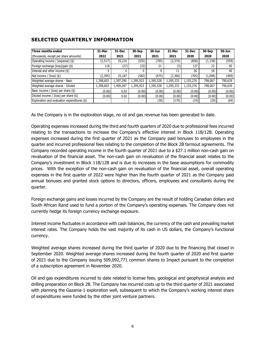# **SELECTED QUARTERLY INFORMATION**

| Three months ended                           | 31-Mar                   | 31-Dec                   | 30-Sep    | 30-Jun    | 31-Mar    | 31-Dec    | 30-Sep   | 30-Jun  |
|----------------------------------------------|--------------------------|--------------------------|-----------|-----------|-----------|-----------|----------|---------|
| (thousands, except per share amounts)        | 2022                     | 2021                     | 2021      | 2021      | 2021      | 2020      | 2020     | 2020    |
| Operating income / (expense) (\$)            | (2,517)                  | 25,210                   | (555)     | (705)     | (2, 374)  | (858)     | (1, 138) | (559)   |
| Foreign exchange (loss)/gain (\$)            | 118                      | (27)                     | (32)      | 21        | (3)       | 127       | 22       | 50      |
| Interest and other income (\$)               | 4                        |                          |           | 9         | 11        | 26        | 18       | 40      |
| Net income / (loss) $(\$)$                   | (2,395)                  | 25,187                   | (582)     | (675)     | (2,366)   | (705)     | (1,098)  | (469)   |
| Weighted average shares - Basic              | 1,398,603                | 1,397,290                | 1,395,923 | 1,395,528 | 1,395,333 | 1,155,276 | 798.067  | 790,639 |
| Weighted average shares - Diluted            | 1,398,603                | 1,409,287                | 1,395,923 | 1,395,528 | 1,395,333 | 1,155,276 | 798,067  | 790,639 |
| Basic income / (loss) per share $(\$)$       | (0.00)                   | 0.02                     | (0.00)    | (0.00)    | (0.00)    | (0.00)    | (0.00)   | (0.00)  |
| Diluted income / (loss) per share $(\$)$     | (0.00)                   | 0.02                     | (0.00)    | (0.00)    | (0.00)    | (0.00)    | (0.00)   | (0.00)  |
| Exploration and evaluation expenditures (\$) | $\overline{\phantom{0}}$ | $\overline{\phantom{a}}$ |           | (30)      | (170)     | (19)      | (29)     | (69)    |

As the Company is in the exploration stage, no oil and gas revenue has been generated to date.

Operating expenses increased during the third and fourth quarters of 2020 due to professional fees incurred relating to the transactions to increase the Company's effective interest in Block 11B/12B. Operating expenses increased during the first quarter of 2021 as the Company paid bonuses to employees in the quarter and incurred professional fees relating to the completion of the Block 2B farmout agreements. The Company recorded operating income in the fourth quarter of 2021 due to a \$27.1 million non-cash gain on revaluation of the financial asset. The non-cash gain on revaluation of the financial asset relates to the Company's investment in Block 11B/12B and is due to increases in the base assumptions for commodity prices. With the exception of the non-cash gain on revaluation of the financial asset, overall operating expenses in the first quarter of 2022 were higher than the fourth quarter of 2021 as the Company paid annual bonuses and granted stock options to directors, officers, employees and consultants during the quarter.

Foreign exchange gains and losses incurred by the Company are the result of holding Canadian dollars and South African Rand used to fund a portion of the Company's operating expenses. The Company does not currently hedge its foreign currency exchange exposure.

Interest income fluctuates in accordance with cash balances, the currency of the cash and prevailing market interest rates. The Company holds the vast majority of its cash in US dollars, the Company's functional currency.

Weighted average shares increased during the third quarter of 2020 due to the financing that closed in September 2020. Weighted average shares increased during the fourth quarter of 2020 and first quarter of 2021 due to the Company issuing 509,092,771 common shares to Impact pursuant to the completion of a subscription agreement in November 2020.

Oil and gas expenditures incurred to date related to license fees, geological and geophysical analysis and drilling preparation on Block 2B. The Company has incurred costs up to the third quarter of 2021 associated with planning the Gazania-1 exploration well, subsequent to which the Company's working interest share of expenditures were funded by the other joint venture partners.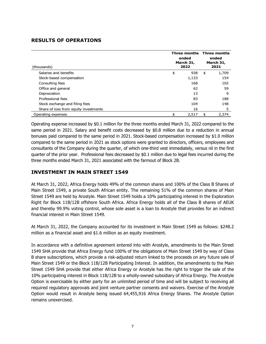## **RESULTS OF OPERATIONS**

| (thousands)                           | Three months Three months<br>ended<br>March 31,<br>2022 |    |       |
|---------------------------------------|---------------------------------------------------------|----|-------|
| Salaries and benefits                 | \$<br>938                                               | \$ | 1,709 |
| Stock-based compensation              | 1,133                                                   |    | 154   |
| Consulting fees                       | 168                                                     |    | 102   |
| Office and general                    | 62                                                      |    | 59    |
| Depreciation                          | 13                                                      |    | 9     |
| Professional fees                     | 83                                                      |    | 188   |
| Stock exchange and filing fees        | 104                                                     |    | 148   |
| Share of loss from equity investments | 16                                                      |    | 5     |
| Operating expenses                    | 2,517                                                   | \$ | 2,374 |

Operating expense increased by \$0.1 million for the three months ended March 31, 2022 compared to the same period in 2021. Salary and benefit costs decreased by \$0.8 million due to a reduction in annual bonuses paid compared to the same period in 2021. Stock-based compensation increased by \$1.0 million compared to the same period in 2021 as stock options were granted to directors, officers, employees and consultants of the Company during the quarter, of which one-third vest immediately, versus nil in the first quarter of the prior year. Professional fees decreased by \$0.1 million due to legal fees incurred during the three months ended March 31, 2021 associated with the farmout of Block 2B.

## **INVESTMENT IN MAIN STREET 1549**

At March 31, 2022, Africa Energy holds 49% of the common shares and 100% of the Class B Shares of Main Street 1549, a private South African entity. The remaining 51% of the common shares of Main Street 1549 are held by Arostyle. Main Street 1549 holds a 10% participating interest in the Exploration Right for Block 11B/12B offshore South Africa. Africa Energy holds all of the Class B shares of AEUK and thereby 99.9% voting control, whose sole asset is a loan to Arostyle that provides for an indirect financial interest in Main Street 1549.

At March 31, 2022, the Company accounted for its investment in Main Street 1549 as follows: \$248.2 million as a financial asset and \$1.6 million as an equity investment.

In accordance with a definitive agreement entered into with Arostyle, amendments to the Main Street 1549 SHA provide that Africa Energy fund 100% of the obligations of Main Street 1549 by way of Class B share subscriptions, which provide a risk-adjusted return linked to the proceeds on any future sale of Main Street 1549 or the Block 11B/12B Participating Interest. In addition, the amendments to the Main Street 1549 SHA provide that either Africa Energy or Arostyle has the right to trigger the sale of the 10% participating interest in Block 11B/12B to a wholly-owned subsidiary of Africa Energy. The Arostyle Option is exercisable by either party for an unlimited period of time and will be subject to receiving all required regulatory approvals and joint venture partner consents and waivers. Exercise of the Arostyle Option would result in Arostyle being issued 64,455,916 Africa Energy Shares. The Arostyle Option remains unexercised.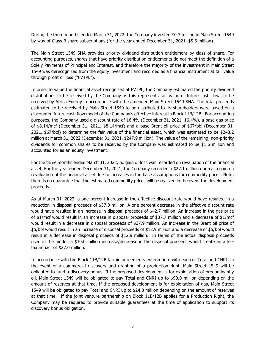During the three months ended March 31, 2022, the Company invested \$0.3 million in Main Street 1549 by way of Class B share subscriptions (for the year ended December 31, 2021, \$5.6 million).

The Main Street 1549 SHA provides priority dividend distribution entitlement by class of share. For accounting purposes, shares that have priority distribution entitlements do not meet the definition of a Solely Payments of Principal and Interest, and therefore the majority of the investment in Main Street 1549 was derecognized from the equity investment and recorded as a financial instrument at fair value through profit or loss ("FVTPL").

In order to value the financial asset recognized at FVTPL, the Company estimated the priority dividend distributions to be received by the Company as this represents fair value of future cash flows to be received by Africa Energy in accordance with the amended Main Street 1549 SHA. The total proceeds estimated to be received by Main Street 1549 to be distributed to its shareholders were based on a discounted future cash flow model of the Company's effective interest in Block 11B/12B. For accounting purposes, the Company used a discount rate of 16.4% (December 31, 2021, 16.4%), a base gas price of \$8.14/mcf (December 31, 2021, \$8.14/mcf) and a base Brent oil price of \$67/bbl (December 31, 2021, \$67/bbl) to determine the fair value of the financial asset, which was estimated to be \$248.2 million at March 31, 2022 (December 31, 2021, \$247.9 million). The value of the remaining, non-priority dividends for common shares to be received by the Company was estimated to be \$1.6 million and accounted for as an equity investment.

For the three months ended March 31, 2022, no gain or loss was recorded on revaluation of the financial asset. For the year ended December 31, 2021, the Company recorded a \$27.1 million non-cash gain on revaluation of the financial asset due to increases in the base assumptions for commodity prices. Note, there is no guarantee that the estimated commodity prices will be realized in the event the development proceeds.

As at March 31, 2022, a one percent increase in the effective discount rate would have resulted in a reduction in disposal proceeds of \$37.0 million. A one percent decrease in the effective discount rate would have resulted in an increase in disposal proceeds of \$42.7 million. An increase in the gas price of \$1/mcf would result in an increase in disposal proceeds of \$37.7 million and a decrease of \$1/mcf would result in a decrease in disposal proceeds of \$37.9 million. An increase in the Brent oil price of \$5/bbl would result in an increase of disposal proceeds of \$12.9 million and a decrease of \$5/bbl would result in a decrease in disposal proceeds of \$12.9 million. In terms of the actual disposal proceeds used in the model, a \$30.0 million increase/decrease in the disposal proceeds would create an aftertax impact of \$27.0 million.

In accordance with the Block 11B/12B farmin agreements entered into with each of Total and CNRI, in the event of a commercial discovery and granting of a production right, Main Street 1549 will be obligated to fund a discovery bonus. If the proposed development is for exploitation of predominantly oil, Main Street 1549 will be obligated to pay Total and CNRI up to \$90.0 million depending on the amount of reserves at that time. If the proposed development is for exploitation of gas, Main Street 1549 will be obligated to pay Total and CNRI up to \$24.0 million depending on the amount of reserves at that time. If the joint venture partnership on Block 11B/12B applies for a Production Right, the Company may be required to provide suitable guarantees at the time of application to support its discovery bonus obligation.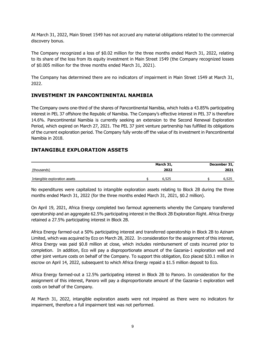At March 31, 2022, Main Street 1549 has not accrued any material obligations related to the commercial discovery bonus.

The Company recognized a loss of \$0.02 million for the three months ended March 31, 2022, relating to its share of the loss from its equity investment in Main Street 1549 (the Company recognized losses of \$0.005 million for the three months ended March 31, 2021).

The Company has determined there are no indicators of impairment in Main Street 1549 at March 31, 2022.

### **INVESTMENT IN PANCONTINENTAL NAMIBIA**

The Company owns one-third of the shares of Pancontinental Namibia, which holds a 43.85% participating interest in PEL 37 offshore the Republic of Namibia. The Company's effective interest in PEL 37 is therefore 14.6%. Pancontinental Namibia is currently seeking an extension to the Second Renewal Exploration Period, which expired on March 27, 2021. The PEL 37 joint venture partnership has fulfilled its obligations of the current exploration period. The Company fully wrote off the value of its investment in Pancontinental Namibia in 2018.

### **INTANGIBLE EXPLORATION ASSETS**

|                               | March 31, | December 31, |
|-------------------------------|-----------|--------------|
| (thousands)                   | 2022      | 2021         |
|                               |           |              |
| Intangible exploration assets | 6.525     | 6,525        |

No expenditures were capitalized to intangible exploration assets relating to Block 2B during the three months ended March 31, 2022 (for the three months ended March 31, 2021, \$0.2 million).

On April 19, 2021, Africa Energy completed two farmout agreements whereby the Company transferred operatorship and an aggregate 62.5% participating interest in the Block 2B Exploration Right. Africa Energy retained a 27.5% participating interest in Block 2B.

Africa Energy farmed-out a 50% participating interest and transferred operatorship in Block 2B to Azinam Limited, which was acquired by Eco on March 28, 2022. In consideration for the assignment of this interest, Africa Energy was paid \$0.8 million at close, which includes reimbursement of costs incurred prior to completion. In addition, Eco will pay a disproportionate amount of the Gazania-1 exploration well and other joint venture costs on behalf of the Company. To support this obligation, Eco placed \$20.1 million in escrow on April 14, 2022, subsequent to which Africa Energy repaid a \$1.5 million deposit to Eco.

Africa Energy farmed-out a 12.5% participating interest in Block 2B to Panoro. In consideration for the assignment of this interest, Panoro will pay a disproportionate amount of the Gazania-1 exploration well costs on behalf of the Company.

At March 31, 2022, intangible exploration assets were not impaired as there were no indicators for impairment, therefore a full impairment test was not performed.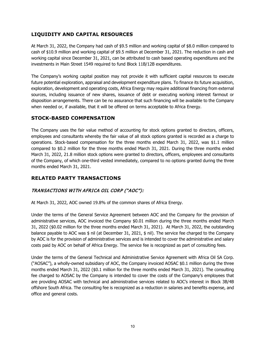# **LIQUIDITY AND CAPITAL RESOURCES**

At March 31, 2022, the Company had cash of \$9.5 million and working capital of \$8.0 million compared to cash of \$10.9 million and working capital of \$9.5 million at December 31, 2021. The reduction in cash and working capital since December 31, 2021, can be attributed to cash based operating expenditures and the investments in Main Street 1549 required to fund Block 11B/12B expenditures.

The Company's working capital position may not provide it with sufficient capital resources to execute future potential exploration, appraisal and development expenditure plans. To finance its future acquisition, exploration, development and operating costs, Africa Energy may require additional financing from external sources, including issuance of new shares, issuance of debt or executing working interest farmout or disposition arrangements. There can be no assurance that such financing will be available to the Company when needed or, if available, that it will be offered on terms acceptable to Africa Energy.

## **STOCK-BASED COMPENSATION**

The Company uses the fair value method of accounting for stock options granted to directors, officers, employees and consultants whereby the fair value of all stock options granted is recorded as a charge to operations. Stock-based compensation for the three months ended March 31, 2022, was \$1.1 million compared to \$0.2 million for the three months ended March 31, 2021. During the three months ended March 31, 2022, 21.8 million stock options were granted to directors, officers, employees and consultants of the Company, of which one-third vested immediately, compared to no options granted during the three months ended March 31, 2021.

# **RELATED PARTY TRANSACTIONS**

# TRANSACTIONS WITH AFRICA OIL CORP ("AOC"):

At March 31, 2022, AOC owned 19.8% of the common shares of Africa Energy.

Under the terms of the General Service Agreement between AOC and the Company for the provision of administrative services, AOC invoiced the Company \$0.01 million during the three months ended March 31, 2022 (\$0.02 million for the three months ended March 31, 2021). At March 31, 2022, the outstanding balance payable to AOC was \$ nil (at December 31, 2021, \$ nil). The service fee charged to the Company by AOC is for the provision of administrative services and is intended to cover the administrative and salary costs paid by AOC on behalf of Africa Energy. The service fee is recognized as part of consulting fees.

Under the terms of the General Technical and Administrative Service Agreement with Africa Oil SA Corp. ("AOSAC"), a wholly-owned subsidiary of AOC, the Company invoiced AOSAC \$0.1 million during the three months ended March 31, 2022 (\$0.1 million for the three months ended March 31, 2021). The consulting fee charged to AOSAC by the Company is intended to cover the costs of the Company's employees that are providing AOSAC with technical and administrative services related to AOC's interest in Block 3B/4B offshore South Africa. The consulting fee is recognized as a reduction in salaries and benefits expense, and office and general costs.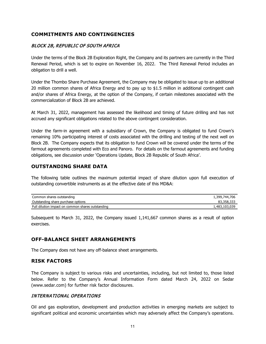## **COMMITMENTS AND CONTINGENCIES**

## BLOCK 2B, REPUBLIC OF SOUTH AFRICA

Under the terms of the Block 2B Exploration Right, the Company and its partners are currently in the Third Renewal Period, which is set to expire on November 16, 2022. The Third Renewal Period includes an obligation to drill a well.

Under the Thombo Share Purchase Agreement, the Company may be obligated to issue up to an additional 20 million common shares of Africa Energy and to pay up to \$1.5 million in additional contingent cash and/or shares of Africa Energy, at the option of the Company, if certain milestones associated with the commercialization of Block 2B are achieved.

At March 31, 2022, management has assessed the likelihood and timing of future drilling and has not accrued any significant obligations related to the above contingent consideration.

Under the farm-in agreement with a subsidiary of Crown, the Company is obligated to fund Crown's remaining 10% participating interest of costs associated with the drilling and testing of the next well on Block 2B. The Company expects that its obligation to fund Crown will be covered under the terms of the farmout agreements completed with Eco and Panoro. For details on the farmout agreements and funding obligations, see discussion under 'Operations Update, Block 2B Republic of South Africa'.

## **OUTSTANDING SHARE DATA**

The following table outlines the maximum potential impact of share dilution upon full execution of outstanding convertible instruments as at the effective date of this MD&A:

| Common shares outstanding                         | 1,399,744,706 |
|---------------------------------------------------|---------------|
| Outstanding share purchase options                | 83,358,333    |
| Full dilution impact on common shares outstanding | 1,483,103,039 |

Subsequent to March 31, 2022, the Company issued 1,141,667 common shares as a result of option exercises.

## **OFF-BALANCE SHEET ARRANGEMENTS**

The Company does not have any off-balance sheet arrangements.

### **RISK FACTORS**

The Company is subject to various risks and uncertainties, including, but not limited to, those listed below. Refer to the Company's Annual Information Form dated March 24, 2022 on Sedar (www.sedar.com) for further risk factor disclosures.

### INTERNATIONAL OPERATIONS

Oil and gas exploration, development and production activities in emerging markets are subject to significant political and economic uncertainties which may adversely affect the Company's operations.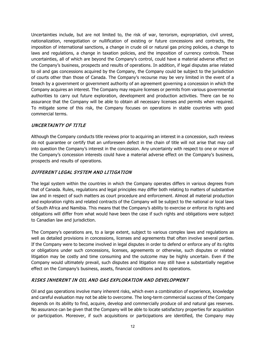Uncertainties include, but are not limited to, the risk of war, terrorism, expropriation, civil unrest, nationalization, renegotiation or nullification of existing or future concessions and contracts, the imposition of international sanctions, a change in crude oil or natural gas pricing policies, a change to laws and regulations, a change in taxation policies, and the imposition of currency controls. These uncertainties, all of which are beyond the Company's control, could have a material adverse effect on the Company's business, prospects and results of operations. In addition, if legal disputes arise related to oil and gas concessions acquired by the Company, the Company could be subject to the jurisdiction of courts other than those of Canada. The Company's recourse may be very limited in the event of a breach by a government or government authority of an agreement governing a concession in which the Company acquires an interest. The Company may require licenses or permits from various governmental authorities to carry out future exploration, development and production activities. There can be no assurance that the Company will be able to obtain all necessary licenses and permits when required. To mitigate some of this risk, the Company focuses on operations in stable countries with good commercial terms.

## UNCERTAINTY OF TITLE

Although the Company conducts title reviews prior to acquiring an interest in a concession, such reviews do not guarantee or certify that an unforeseen defect in the chain of title will not arise that may call into question the Company's interest in the concession. Any uncertainty with respect to one or more of the Company's concession interests could have a material adverse effect on the Company's business, prospects and results of operations.

### DIFFERENT LEGAL SYSTEM AND LITIGATION

The legal system within the countries in which the Company operates differs in various degrees from that of Canada. Rules, regulations and legal principles may differ both relating to matters of substantive law and in respect of such matters as court procedure and enforcement. Almost all material production and exploration rights and related contracts of the Company will be subject to the national or local laws of South Africa and Namibia. This means that the Company's ability to exercise or enforce its rights and obligations will differ from what would have been the case if such rights and obligations were subject to Canadian law and jurisdiction.

The Company's operations are, to a large extent, subject to various complex laws and regulations as well as detailed provisions in concessions, licenses and agreements that often involve several parties. If the Company were to become involved in legal disputes in order to defend or enforce any of its rights or obligations under such concessions, licenses, agreements or otherwise, such disputes or related litigation may be costly and time consuming and the outcome may be highly uncertain. Even if the Company would ultimately prevail, such disputes and litigation may still have a substantially negative effect on the Company's business, assets, financial conditions and its operations.

## RISKS INHERENT IN OIL AND GAS EXPLORATION AND DEVELOPMENT

Oil and gas operations involve many inherent risks, which even a combination of experience, knowledge and careful evaluation may not be able to overcome. The long-term commercial success of the Company depends on its ability to find, acquire, develop and commercially produce oil and natural gas reserves. No assurance can be given that the Company will be able to locate satisfactory properties for acquisition or participation. Moreover, if such acquisitions or participations are identified, the Company may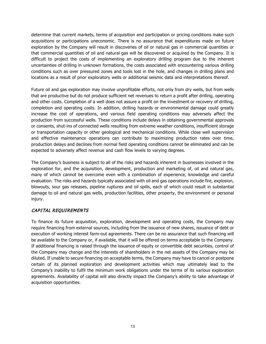determine that current markets, terms of acquisition and participation or pricing conditions make such acquisitions or participations uneconomic. There is no assurance that expenditures made on future exploration by the Company will result in discoveries of oil or natural gas in commercial quantities or that commercial quantities of oil and natural gas will be discovered or acquired by the Company. It is difficult to project the costs of implementing an exploratory drilling program due to the inherent uncertainties of drilling in unknown formations, the costs associated with encountering various drilling conditions such as over pressured zones and tools lost in the hole, and changes in drilling plans and locations as a result of prior exploratory wells or additional seismic data and interpretations thereof.

Future oil and gas exploration may involve unprofitable efforts, not only from dry wells, but from wells that are productive but do not produce sufficient net revenues to return a profit after drilling, operating and other costs. Completion of a well does not assure a profit on the investment or recovery of drilling, completion and operating costs. In addition, drilling hazards or environmental damage could greatly increase the cost of operations, and various field operating conditions may adversely affect the production from successful wells. These conditions include delays in obtaining governmental approvals or consents, shut-ins of connected wells resulting from extreme weather conditions, insufficient storage or transportation capacity or other geological and mechanical conditions. While close well supervision and effective maintenance operations can contribute to maximizing production rates over time, production delays and declines from normal field operating conditions cannot be eliminated and can be expected to adversely affect revenue and cash flow levels to varying degrees.

The Company's business is subject to all of the risks and hazards inherent in businesses involved in the exploration for, and the acquisition, development, production and marketing of, oil and natural gas, many of which cannot be overcome even with a combination of experience, knowledge and careful evaluation. The risks and hazards typically associated with oil and gas operations include fire, explosion, blowouts, sour gas releases, pipeline ruptures and oil spills, each of which could result in substantial damage to oil and natural gas wells, production facilities, other property, the environment or personal injury.

## CAPITAL REQUIREMENTS

To finance its future acquisition, exploration, development and operating costs, the Company may require financing from external sources, including from the issuance of new shares, issuance of debt or execution of working interest farm-out agreements. There can be no assurance that such financing will be available to the Company or, if available, that it will be offered on terms acceptable to the Company. If additional financing is raised through the issuance of equity or convertible debt securities, control of the Company may change and the interests of shareholders in the net assets of the Company may be diluted. If unable to secure financing on acceptable terms, the Company may have to cancel or postpone certain of its planned exploration and development activities which may ultimately lead to the Company's inability to fulfil the minimum work obligations under the terms of its various exploration agreements. Availability of capital will also directly impact the Company's ability to take advantage of acquisition opportunities.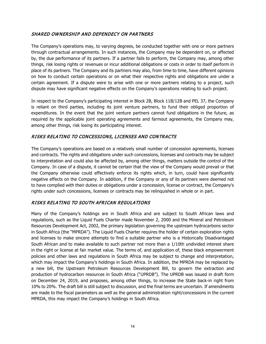## SHARED OWNERSHIP AND DEPENDECY ON PARTNERS

The Company's operations may, to varying degrees, be conducted together with one or more partners through contractual arrangements. In such instances, the Company may be dependent on, or affected by, the due performance of its partners. If a partner fails to perform, the Company may, among other things, risk losing rights or revenues or incur additional obligations or costs in order to itself perform in place of its partners. The Company and its partners may also, from time to time, have different opinions on how to conduct certain operations or on what their respective rights and obligations are under a certain agreement. If a dispute were to arise with one or more partners relating to a project, such dispute may have significant negative effects on the Company's operations relating to such project.

In respect to the Company's participating interest in Block 2B, Block 11B/12B and PEL 37, the Company is reliant on third parties, including its joint venture partners, to fund their obliged proportion of expenditures. In the event that the joint venture partners cannot fund obligations in the future, as required by the applicable joint operating agreements and farmout agreements, the Company may, among other things, risk losing its participating interest.

### RISKS RELATING TO CONCESSIONS, LICENSES AND CONTRACTS

The Company's operations are based on a relatively small number of concession agreements, licenses and contracts. The rights and obligations under such concessions, licenses and contracts may be subject to interpretation and could also be affected by, among other things, matters outside the control of the Company. In case of a dispute, it cannot be certain that the view of the Company would prevail or that the Company otherwise could effectively enforce its rights which, in turn, could have significantly negative effects on the Company. In addition, if the Company or any of its partners were deemed not to have complied with their duties or obligations under a concession, license or contract, the Company's rights under such concessions, licenses or contracts may be relinquished in whole or in part.

## RISKS RELATING TO SOUTH AFRICAN REGULATIONS

Many of the Company's holdings are in South Africa and are subject to South African laws and regulations, such as the Liquid Fuels Charter made November 2, 2000 and the Mineral and Petroleum Resources Development Act, 2002, the primary legislation governing the upstream hydrocarbons sector in South Africa (the "MPRDA"). The Liquid Fuels Charter requires the holder of certain exploration rights and licenses to make sincere attempts to find a suitable partner who is a Historically Disadvantaged South African and to make available to such partner not more than a 1/10th undivided interest share in the right or license at fair market value. The terms of, and application of, these black empowerment policies and other laws and regulations in South Africa may be subject to change and interpretation, which may impact the Company's holdings in South Africa. In addition, the MPRDA may be replaced by a new bill, the Upstream Petroleum Resources Development Bill, to govern the extraction and production of hydrocarbon resources in South Africa ("UPRDB"). The UPRDB was issued in draft form on December 24, 2019, and proposes, among other things, to increase the State back-in right from 10% to 20%. The draft bill is still subject to discussion, and the final terms are uncertain. If amendments are made to the fiscal parameters as well as the general administration right/concessions in the current MPRDA, this may impact the Company's holdings in South Africa.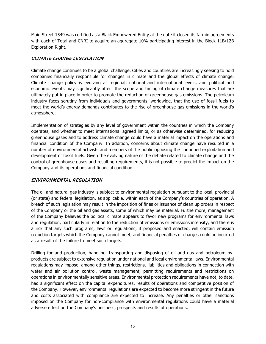Main Street 1549 was certified as a Black Empowered Entity at the date it closed its farmin agreements with each of Total and CNRI to acquire an aggregate 10% participating interest in the Block 11B/12B Exploration Right.

### CLIMATE CHANGE LEGISLATION

Climate change continues to be a global challenge. Cities and countries are increasingly seeking to hold companies financially responsible for changes in climate and the global effects of climate change. Climate change policy is evolving at regional, national and international levels, and political and economic events may significantly affect the scope and timing of climate change measures that are ultimately put in place in order to promote the reduction of greenhouse gas emissions. The petroleum industry faces scrutiny from individuals and governments, worldwide, that the use of fossil fuels to meet the world's energy demands contributes to the rise of greenhouse gas emissions in the world's atmosphere.

Implementation of strategies by any level of government within the countries in which the Company operates, and whether to meet international agreed limits, or as otherwise determined, for reducing greenhouse gases and to address climate change could have a material impact on the operations and financial condition of the Company. In addition, concerns about climate change have resulted in a number of environmental activists and members of the public opposing the continued exploitation and development of fossil fuels. Given the evolving nature of the debate related to climate change and the control of greenhouse gases and resulting requirements, it is not possible to predict the impact on the Company and its operations and financial condition.

## ENVIRONMENTAL REGULATION

The oil and natural gas industry is subject to environmental regulation pursuant to the local, provincial (or state) and federal legislation, as applicable, within each of the Company's countries of operation. A breach of such legislation may result in the imposition of fines or issuance of clean up orders in respect of the Company or the oil and gas assets, some of which may be material. Furthermore, management of the Company believes the political climate appears to favor new programs for environmental laws and regulation, particularly in relation to the reduction of emissions or emissions intensity, and there is a risk that any such programs, laws or regulations, if proposed and enacted, will contain emission reduction targets which the Company cannot meet, and financial penalties or charges could be incurred as a result of the failure to meet such targets.

Drilling for and production, handling, transporting and disposing of oil and gas and petroleum byproducts are subject to extensive regulation under national and local environmental laws. Environmental regulations may impose, among other things, restrictions, liabilities and obligations in connection with water and air pollution control, waste management, permitting requirements and restrictions on operations in environmentally sensitive areas. Environmental protection requirements have not, to date, had a significant effect on the capital expenditures, results of operations and competitive position of the Company. However, environmental regulations are expected to become more stringent in the future and costs associated with compliance are expected to increase. Any penalties or other sanctions imposed on the Company for non-compliance with environmental regulations could have a material adverse effect on the Company's business, prospects and results of operations.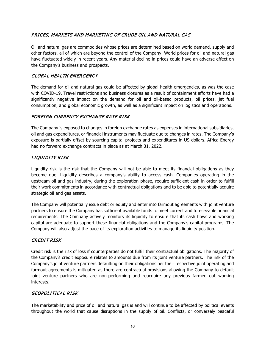## PRICES, MARKETS AND MARKETING OF CRUDE OIL AND NATURAL GAS

Oil and natural gas are commodities whose prices are determined based on world demand, supply and other factors, all of which are beyond the control of the Company. World prices for oil and natural gas have fluctuated widely in recent years. Any material decline in prices could have an adverse effect on the Company's business and prospects.

### GLOBAL HEALTH EMERGENCY

The demand for oil and natural gas could be affected by global health emergencies, as was the case with COVID-19. Travel restrictions and business closures as a result of containment efforts have had a significantly negative impact on the demand for oil and oil-based products, oil prices, jet fuel consumption, and global economic growth, as well as a significant impact on logistics and operations.

### FOREIGN CURRENCY EXCHANGE RATE RISK

The Company is exposed to changes in foreign exchange rates as expenses in international subsidiaries, oil and gas expenditures, or financial instruments may fluctuate due to changes in rates. The Company's exposure is partially offset by sourcing capital projects and expenditures in US dollars. Africa Energy had no forward exchange contracts in place as at March 31, 2022.

## LIQUIDITY RISK

Liquidity risk is the risk that the Company will not be able to meet its financial obligations as they become due. Liquidity describes a company's ability to access cash. Companies operating in the upstream oil and gas industry, during the exploration phase, require sufficient cash in order to fulfill their work commitments in accordance with contractual obligations and to be able to potentially acquire strategic oil and gas assets.

The Company will potentially issue debt or equity and enter into farmout agreements with joint venture partners to ensure the Company has sufficient available funds to meet current and foreseeable financial requirements. The Company actively monitors its liquidity to ensure that its cash flows and working capital are adequate to support these financial obligations and the Company's capital programs. The Company will also adjust the pace of its exploration activities to manage its liquidity position.

### CREDIT RISK

Credit risk is the risk of loss if counterparties do not fulfill their contractual obligations. The majority of the Company's credit exposure relates to amounts due from its joint venture partners. The risk of the Company's joint venture partners defaulting on their obligations per their respective joint operating and farmout agreements is mitigated as there are contractual provisions allowing the Company to default joint venture partners who are non-performing and reacquire any previous farmed out working interests.

### GEOPOLITICAL RISK

The marketability and price of oil and natural gas is and will continue to be affected by political events throughout the world that cause disruptions in the supply of oil. Conflicts, or conversely peaceful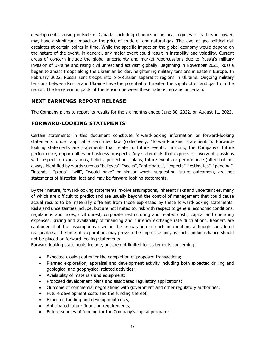developments, arising outside of Canada, including changes in political regimes or parties in power, may have a significant impact on the price of crude oil and natural gas. The level of geo-political risk escalates at certain points in time. While the specific impact on the global economy would depend on the nature of the event, in general, any major event could result in instability and volatility. Current areas of concern include the global uncertainty and market repercussions due to Russia's military invasion of Ukraine and rising civil unrest and activism globally. Beginning in November 2021, Russia began to amass troops along the Ukrainian border, heightening military tensions in Eastern Europe. In February 2022, Russia sent troops into pro-Russian separatist regions in Ukraine. Ongoing military tensions between Russia and Ukraine have the potential to threaten the supply of oil and gas from the region. The long-term impacts of the tension between these nations remains uncertain.

## **NEXT EARNINGS REPORT RELEASE**

The Company plans to report its results for the six months ended June 30, 2022, on August 11, 2022.

### **FORWARD-LOOKING STATEMENTS**

Certain statements in this document constitute forward-looking information or forward-looking statements under applicable securities law (collectively, "forward-looking statements"). Forwardlooking statements are statements that relate to future events, including the Company's future performance, opportunities or business prospects. Any statements that express or involve discussions with respect to expectations, beliefs, projections, plans, future events or performance (often but not always identified by words such as "believes", "seeks", "anticipates", "expects", "estimates", "pending", "intends", "plans", "will", "would have" or similar words suggesting future outcomes), are not statements of historical fact and may be forward-looking statements.

By their nature, forward-looking statements involve assumptions, inherent risks and uncertainties, many of which are difficult to predict and are usually beyond the control of management that could cause actual results to be materially different from those expressed by these forward-looking statements. Risks and uncertainties include, but are not limited to, risk with respect to general economic conditions, regulations and taxes, civil unrest, corporate restructuring and related costs, capital and operating expenses, pricing and availability of financing and currency exchange rate fluctuations. Readers are cautioned that the assumptions used in the preparation of such information, although considered reasonable at the time of preparation, may prove to be imprecise and, as such, undue reliance should not be placed on forward-looking statements.

Forward-looking statements include, but are not limited to, statements concerning:

- Expected closing dates for the completion of proposed transactions;
- Planned exploration, appraisal and development activity including both expected drilling and geological and geophysical related activities;
- Availability of materials and equipment;
- Proposed development plans and associated regulatory applications;
- Outcome of commercial negotiations with government and other regulatory authorities;
- Future development costs and the funding thereof;
- Expected funding and development costs;
- Anticipated future financing requirements;
- Future sources of funding for the Company's capital program;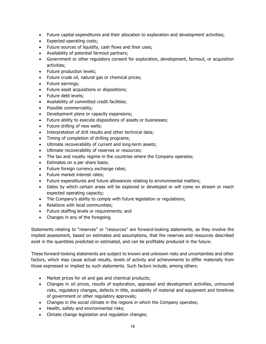- Future capital expenditures and their allocation to exploration and development activities;
- Expected operating costs;
- Future sources of liquidity, cash flows and their uses;
- Availability of potential farmout partners;
- Government or other regulatory consent for exploration, development, farmout, or acquisition activities;
- Future production levels;
- Future crude oil, natural gas or chemical prices;
- Future earnings;
- Future asset acquisitions or dispositions;
- Future debt levels;
- Availability of committed credit facilities;
- Possible commerciality;
- Development plans or capacity expansions;
- Future ability to execute dispositions of assets or businesses;
- Future drilling of new wells;
- Interpretation of drill results and other technical data;
- Timing of completion of drilling programs;
- Ultimate recoverability of current and long-term assets;
- Ultimate recoverability of reserves or resources;
- The tax and royalty regime in the countries where the Company operates;
- Estimates on a per share basis;
- Future foreign currency exchange rates;
- Future market interest rates;
- Future expenditures and future allowances relating to environmental matters;
- Dates by which certain areas will be explored or developed or will come on stream or reach expected operating capacity;
- The Company's ability to comply with future legislation or regulations;
- Relations with local communities;
- Future staffing levels or requirements; and
- Changes in any of the foregoing.

Statements relating to "reserves" or "resources" are forward-looking statements, as they involve the implied assessment, based on estimates and assumptions, that the reserves and resources described exist in the quantities predicted or estimated, and can be profitably produced in the future.

These forward-looking statements are subject to known and unknown risks and uncertainties and other factors, which may cause actual results, levels of activity and achievements to differ materially from those expressed or implied by such statements. Such factors include, among others:

- Market prices for oil and gas and chemical products;
- Changes in oil prices, results of exploration, appraisal and development activities, uninsured risks, regulatory changes, defects in title, availability of material and equipment and timelines of government or other regulatory approvals;
- Changes in the social climate in the regions in which the Company operates;
- Health, safety and environmental risks;
- Climate change legislation and regulation changes;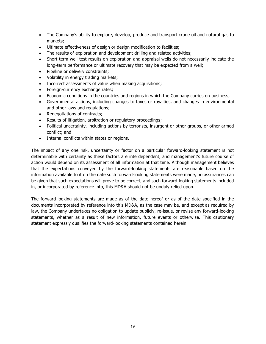- The Company's ability to explore, develop, produce and transport crude oil and natural gas to markets;
- Ultimate effectiveness of design or design modification to facilities;
- The results of exploration and development drilling and related activities;
- Short term well test results on exploration and appraisal wells do not necessarily indicate the long-term performance or ultimate recovery that may be expected from a well;
- Pipeline or delivery constraints;
- Volatility in energy trading markets;
- Incorrect assessments of value when making acquisitions;
- Foreign-currency exchange rates;
- Economic conditions in the countries and regions in which the Company carries on business;
- Governmental actions, including changes to taxes or royalties, and changes in environmental and other laws and regulations;
- Renegotiations of contracts;
- Results of litigation, arbitration or regulatory proceedings;
- Political uncertainty, including actions by terrorists, insurgent or other groups, or other armed conflict; and
- Internal conflicts within states or regions.

The impact of any one risk, uncertainty or factor on a particular forward-looking statement is not determinable with certainty as these factors are interdependent, and management's future course of action would depend on its assessment of all information at that time. Although management believes that the expectations conveyed by the forward-looking statements are reasonable based on the information available to it on the date such forward-looking statements were made, no assurances can be given that such expectations will prove to be correct, and such forward-looking statements included in, or incorporated by reference into, this MD&A should not be unduly relied upon.

The forward-looking statements are made as of the date hereof or as of the date specified in the documents incorporated by reference into this MD&A, as the case may be, and except as required by law, the Company undertakes no obligation to update publicly, re-issue, or revise any forward-looking statements, whether as a result of new information, future events or otherwise. This cautionary statement expressly qualifies the forward-looking statements contained herein.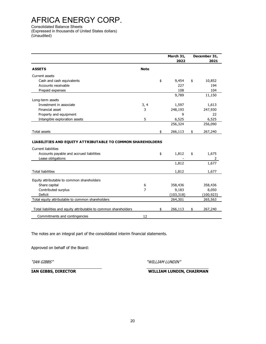Consolidated Balance Sheets

(Expressed in thousands of United States dollars) (Unaudited)

|                                                                   |                | March 31,<br>2022 | December 31,<br>2021 |
|-------------------------------------------------------------------|----------------|-------------------|----------------------|
| <b>ASSETS</b>                                                     | <b>Note</b>    |                   |                      |
| Current assets                                                    |                |                   |                      |
| Cash and cash equivalents                                         |                | \$<br>9,454       | \$<br>10,852         |
| Accounts receivable                                               |                | 227               | 194                  |
| Prepaid expenses                                                  |                | 108               | 104                  |
|                                                                   |                | 9,789             | 11,150               |
| Long-term assets                                                  |                |                   |                      |
| Investment in associate                                           | 3, 4           | 1,597             | 1,613                |
| Financial asset                                                   | 3              | 248,193           | 247,930              |
| Property and equipment                                            |                | 9                 | 22                   |
| Intangible exploration assets                                     | 5              | 6,525             | 6,525                |
|                                                                   |                | 256,324           | 256,090              |
| Total assets                                                      |                | \$<br>266,113     | \$<br>267,240        |
| <b>LIABILITIES AND EQUITY ATTRIBUTABLE TO COMMON SHAREHOLDERS</b> |                |                   |                      |
|                                                                   |                |                   |                      |
| <b>Current liabilities</b>                                        |                |                   |                      |
| Accounts payable and accrued liabilities                          |                | \$<br>1,812       | \$<br>1,675          |
| Lease obligations                                                 |                |                   | 2                    |
|                                                                   |                | 1,812             | 1,677                |
| <b>Total liabilities</b>                                          |                | 1,812             | 1,677                |
|                                                                   |                |                   |                      |
| Equity attributable to common shareholders                        |                |                   |                      |
| Share capital                                                     | 6              | 358,436           | 358,436              |
| Contributed surplus                                               | $\overline{7}$ | 9,183             | 8,050                |
| Deficit                                                           |                | (103, 318)        | (100, 923)           |
| Total equity attributable to common shareholders                  |                | 264,301           | 265,563              |
| Total liabilities and equity attributable to common shareholders  |                | \$<br>266,113     | \$<br>267,240        |

The notes are an integral part of the consolidated interim financial statements.

Approved on behalf of the Board:

"IAN GIBBS" "WILLIAM LUNDIN"

\_\_\_\_\_\_\_\_\_\_\_\_\_\_\_\_\_\_\_\_\_\_\_\_\_\_\_\_\_\_\_\_\_ \_\_\_\_\_\_\_\_\_\_\_\_\_\_\_\_\_\_\_\_\_\_\_\_\_\_\_\_\_ **IAN GIBBS, DIRECTOR WILLIAM LUNDIN, CHAIRMAN**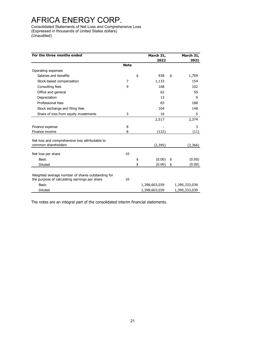Consolidated Statements of Net Loss and Comprehensive Loss (Expressed in thousands of United States dollars) (Unaudited)

| For the three months ended                                             |             | March 31,     | March 31,     |
|------------------------------------------------------------------------|-------------|---------------|---------------|
|                                                                        |             | 2022          | 2021          |
|                                                                        | <b>Note</b> |               |               |
| Operating expenses                                                     |             |               |               |
| Salaries and benefits                                                  |             | \$<br>938     | \$<br>1,709   |
| Stock-based compensation                                               | 7           | 1,133         | 154           |
| Consulting fees                                                        | 9           | 168           | 102           |
| Office and general                                                     |             | 62            | 59            |
| Depreciation                                                           |             | 13            | 9             |
| Professional fees                                                      |             | 83            | 188           |
| Stock exchange and filing fees                                         |             | 104           | 148           |
| Share of loss from equity investments                                  | 3           | 16            | 5             |
|                                                                        |             | 2,517         | 2,374         |
| Finance expense                                                        | 8           |               | 3             |
| Finance income                                                         | 8           | (122)         | (11)          |
| Net loss and comprehensive loss attributable to<br>common shareholders |             | (2, 395)      | (2,366)       |
|                                                                        |             |               |               |
| Net loss per share                                                     | 10          |               |               |
| Basic                                                                  |             | \$<br>(0.00)  | \$<br>(0.00)  |
| <b>Diluted</b>                                                         |             | \$<br>(0.00)  | \$<br>(0.00)  |
| Weighted average number of shares outstanding for                      |             |               |               |
| the purpose of calculating earnings per share                          | 10          |               |               |
| Basic                                                                  |             | 1,398,603,039 | 1,395,333,039 |
| <b>Diluted</b>                                                         |             | 1,398,603,039 | 1,395,333,039 |

The notes are an integral part of the consolidated interim financial statements.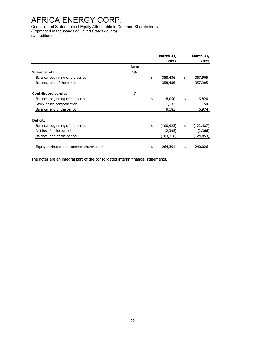Consolidated Statements of Equity Attributable to Common Shareholders (Expressed in thousands of United States dollars) (Unaudited)

|                                            |             | March 31,        | March 31,        |
|--------------------------------------------|-------------|------------------|------------------|
|                                            |             | 2022             | 2021             |
|                                            | <b>Note</b> |                  |                  |
| Share capital:                             | 6(b)        |                  |                  |
| Balance, beginning of the period           |             | \$<br>358,436    | \$<br>357,905    |
| Balance, end of the period                 |             | 358,436          | 357,905          |
| <b>Contributed surplus:</b>                | 7           |                  |                  |
| Balance, beginning of the period           |             | \$<br>8,050      | \$<br>6,820      |
| Stock-based compensation                   |             | 1,133            | 154              |
| Balance, end of the period                 |             | 9,183            | 6,974            |
| Deficit:                                   |             |                  |                  |
| Balance, beginning of the period           |             | \$<br>(100, 923) | \$<br>(122, 487) |
| Net loss for the period                    |             | (2,395)          | (2,366)          |
| Balance, end of the period                 |             | (103, 318)       | (124, 853)       |
| Equity attributable to common shareholders |             | \$<br>264,301    | \$<br>240,026    |

The notes are an integral part of the consolidated interim financial statements.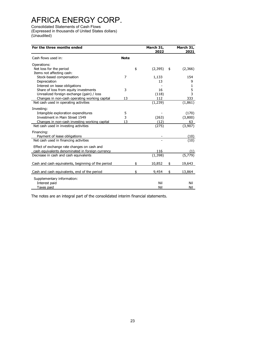Consolidated Statements of Cash Flows (Expressed in thousands of United States dollars) (Unaudited)

| For the three months ended                         |             | March 31,<br>2022 | March 31,<br>2021 |
|----------------------------------------------------|-------------|-------------------|-------------------|
| Cash flows used in:                                | <b>Note</b> |                   |                   |
| Operations:                                        |             |                   |                   |
| Net loss for the period                            | \$          | (2,395)<br>\$     | (2,366)           |
| Items not affecting cash:                          |             |                   |                   |
| Stock-based compensation                           | 7           | 1,133             | 154               |
| Depreciation                                       |             | 13                | 9                 |
| Interest on lease obligations                      |             |                   | 1                 |
| Share of loss from equity investments              | 3           | 16                | 5                 |
| Unrealized foreign exchange (gain) / loss          |             | (118)             | 3                 |
| Changes in non-cash operating working capital      | 13          | 112               | 333               |
| Net cash used in operating activities              |             | (1, 239)          | (1,861)           |
| Investing:                                         |             |                   |                   |
| Intangible exploration expenditures                | 5           |                   | (170)             |
| Investment in Main Street 1549                     | 3           | (263)             | (3,800)           |
| Changes in non-cash investing working capital      | 13          | (12)              | 63                |
| Net cash used in investing activities              |             | (275)             | (3,907)           |
| Financing:                                         |             |                   |                   |
| Payment of lease obligations                       |             |                   | (10)              |
| Net cash used in financing activities              |             |                   | (10)              |
| Effect of exchange rate changes on cash and        |             |                   |                   |
| cash equivalents denominated in foreign currency   |             | 116               |                   |
| Decrease in cash and cash equivalents              |             | (1, 398)          |                   |
| Cash and cash equivalents, beginning of the period | \$          | 10,852<br>\$      | 19,643            |
|                                                    |             |                   |                   |
| Cash and cash equivalents, end of the period       | \$          | 9,454<br>\$       | 13,864            |
| Supplementary information:                         |             |                   |                   |
| Interest paid                                      |             | Nil               | Nil               |
| Taxes paid                                         |             | Nil               | Nil               |

The notes are an integral part of the consolidated interim financial statements.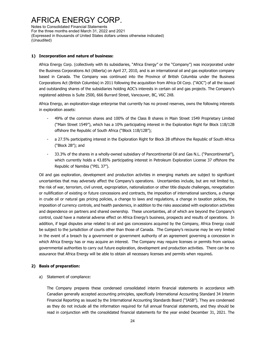Notes to Consolidated Financial Statements For the three months ended March 31, 2022 and 2021 (Expressed in thousands of United States dollars unless otherwise indicated) (Unaudited)

#### **1) Incorporation and nature of business:**

Africa Energy Corp. (collectively with its subsidiaries, "Africa Energy" or the "Company") was incorporated under the Business Corporations Act (Alberta) on April 27, 2010, and is an international oil and gas exploration company based in Canada. The Company was continued into the Province of British Columbia under the Business Corporations Act (British Columbia) in 2011 following the acquisition from Africa Oil Corp. ("AOC") of all the issued and outstanding shares of the subsidiaries holding AOC's interests in certain oil and gas projects. The Company's registered address is Suite 2500, 666 Burrard Street, Vancouver, BC, V6C 2X8.

Africa Energy, an exploration-stage enterprise that currently has no proved reserves, owns the following interests in exploration assets:

- 49% of the common shares and 100% of the Class B shares in Main Street 1549 Proprietary Limited ("Main Street 1549"), which has a 10% participating interest in the Exploration Right for Block 11B/12B offshore the Republic of South Africa ("Block 11B/12B");
- a 27.5% participating interest in the Exploration Right for Block 2B offshore the Republic of South Africa ("Block 2B"); and
- 33.3% of the shares in a wholly-owned subsidiary of Pancontinental Oil and Gas N.L. ("Pancontinental"), which currently holds a 43.85% participating interest in Petroleum Exploration License 37 offshore the Republic of Namibia ("PEL 37").

Oil and gas exploration, development and production activities in emerging markets are subject to significant uncertainties that may adversely affect the Company's operations. Uncertainties include, but are not limited to, the risk of war, terrorism, civil unrest, expropriation, nationalization or other title dispute challenges, renegotiation or nullification of existing or future concessions and contracts, the imposition of international sanctions, a change in crude oil or natural gas pricing policies, a change to laws and regulations, a change in taxation policies, the imposition of currency controls, and health pandemics, in addition to the risks associated with exploration activities and dependence on partners and shared ownership. These uncertainties, all of which are beyond the Company's control, could have a material adverse effect on Africa Energy's business, prospects and results of operations. In addition, if legal disputes arise related to oil and gas concessions acquired by the Company, Africa Energy could be subject to the jurisdiction of courts other than those of Canada. The Company's recourse may be very limited in the event of a breach by a government or government authority of an agreement governing a concession in which Africa Energy has or may acquire an interest. The Company may require licenses or permits from various governmental authorities to carry out future exploration, development and production activities. There can be no assurance that Africa Energy will be able to obtain all necessary licenses and permits when required**.**

#### **2) Basis of preparation:**

#### a) Statement of compliance:

The Company prepares these condensed consolidated interim financial statements in accordance with Canadian generally accepted accounting principles, specifically International Accounting Standard 34 Interim Financial Reporting as issued by the International Accounting Standards Board ("IASB"). They are condensed as they do not include all the information required for full annual financial statements, and they should be read in conjunction with the consolidated financial statements for the year ended December 31, 2021. The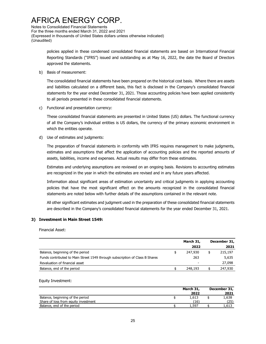Notes to Consolidated Financial Statements For the three months ended March 31, 2022 and 2021 (Expressed in thousands of United States dollars unless otherwise indicated) (Unaudited)

> policies applied in these condensed consolidated financial statements are based on International Financial Reporting Standards ("IFRS") issued and outstanding as at May 16, 2022, the date the Board of Directors approved the statements.

b) Basis of measurement:

The consolidated financial statements have been prepared on the historical cost basis. Where there are assets and liabilities calculated on a different basis, this fact is disclosed in the Company's consolidated financial statements for the year ended December 31, 2021. Those accounting policies have been applied consistently to all periods presented in these consolidated financial statements.

c) Functional and presentation currency:

These consolidated financial statements are presented in United States (US) dollars. The functional currency of all the Company's individual entities is US dollars, the currency of the primary economic environment in which the entities operate.

d) Use of estimates and judgments:

The preparation of financial statements in conformity with IFRS requires management to make judgments, estimates and assumptions that affect the application of accounting policies and the reported amounts of assets, liabilities, income and expenses. Actual results may differ from these estimates.

Estimates and underlying assumptions are reviewed on an ongoing basis. Revisions to accounting estimates are recognized in the year in which the estimates are revised and in any future years affected.

Information about significant areas of estimation uncertainty and critical judgments in applying accounting policies that have the most significant effect on the amounts recognized in the consolidated financial statements are noted below with further details of the assumptions contained in the relevant note.

All other significant estimates and judgment used in the preparation of these consolidated financial statements are described in the Company's consolidated financial statements for the year ended December 31, 2021.

#### **3) Investment in Main Street 1549:**

Financial Asset:

|                                                                              | March 31, | December 31, |
|------------------------------------------------------------------------------|-----------|--------------|
|                                                                              | 2022      | 2021         |
| Balance, beginning of the period                                             | 247,930   | 215,197      |
| Funds contributed to Main Street 1549 through subscription of Class B Shares | 263       | 5,635        |
| Revaluation of financial asset                                               | -         | 27,098       |
| Balance, end of the period                                                   | 248,193   | 247,930      |

#### Equity Investment:

|                                      | March 31,<br>2022 | December 31,<br>2021 |
|--------------------------------------|-------------------|----------------------|
| Balance, beginning of the period     | 1,613             | 1,638                |
| Share of loss from equity investment | (16)              | (25)                 |
| Balance, end of the period           | 1,597             | 1,613                |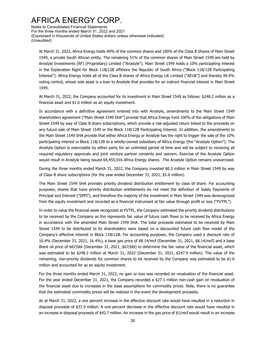Notes to Consolidated Financial Statements For the three months ended March 31, 2022 and 2021 (Expressed in thousands of United States dollars unless otherwise indicated) (Unaudited)

At March 31, 2022, Africa Energy holds 49% of the common shares and 100% of the Class B Shares of Main Street 1549, a private South African entity. The remaining 51% of the common shares of Main Street 1549 are held by Arostyle Investments (RF) (Proprietary) Limited ("Arostyle"). Main Street 1549 holds a 10% participating interest in the Exploration Right for Block 11B/12B offshore the Republic of South Africa ("Block 11B/12B Participating Interest"). Africa Energy holds all of the Class B shares of Africa Energy UK Limited ("AEUK") and thereby 99.9% voting control, whose sole asset is a loan to Arostyle that provides for an indirect financial interest in Main Street 1549.

At March 31, 2022, the Company accounted for its investment in Main Street 1549 as follows: \$248.2 million as a financial asset and \$1.6 million as an equity investment.

In accordance with a definitive agreement entered into with Arostyle, amendments to the Main Street 1549 shareholders agreement ("Main Street 1549 SHA") provide that Africa Energy fund 100% of the obligations of Main Street 1549 by way of Class B share subscriptions, which provide a risk-adjusted return linked to the proceeds on any future sale of Main Street 1549 or the Block 11B/12B Participating Interest. In addition, the amendments to the Main Street 1549 SHA provide that either Africa Energy or Arostyle has the right to trigger the sale of the 10% participating interest in Block 11B/12B to a wholly-owned subsidiary of Africa Energy (the "Arostyle Option"). The Arostyle Option is exercisable by either party for an unlimited period of time and will be subject to receiving all required regulatory approvals and joint venture partner consents and waivers. Exercise of the Arostyle Option would result in Arostyle being issued 64,455,916 Africa Energy shares. The Arostyle Option remains unexercised.

During the three months ended March 31, 2022, the Company invested \$0.3 million in Main Street 1549 by way of Class B share subscriptions (for the year ended December 31, 2021, \$5.6 million).

The Main Street 1549 SHA provides priority dividend distribution entitlement by class of share. For accounting purposes, shares that have priority distribution entitlements do not meet the definition of Solely Payments of Principal and Interest ("SPPI"), and therefore the majority of the investment in Main Street 1549 was derecognized from the equity investment and recorded as a financial instrument at fair value through profit or loss ("FVTPL").

In order to value the financial asset recognized at FVTPL, the Company estimated the priority dividend distributions to be received by the Company as this represents fair value of future cash flows to be received by Africa Energy in accordance with the amended Main Street 1549 SHA. The total proceeds estimated to be received by Main Street 1549 to be distributed to its shareholders were based on a discounted future cash flow model of the Company's effective interest in Block 11B/12B. For accounting purposes, the Company used a discount rate of 16.4% (December 31, 2021, 16.4%), a base gas price of \$8.14/mcf (December 31, 2021, \$8.14/mcf) and a base Brent oil price of \$67/bbl (December 31, 2021, \$67/bbl) to determine the fair value of the financial asset, which was estimated to be \$248.2 million at March 31, 2022 (December 31, 2021, \$247.9 million). The value of the remaining, non-priority dividends for common shares to be received by the Company was estimated to be \$1.6 million and accounted for as an equity investment.

For the three months ended March 31, 2022, no gain or loss was recorded on revaluation of the financial asset. For the year ended December 31, 2021, the Company recorded a \$27.1 million non-cash gain on revaluation of the financial asset due to increases in the base assumptions for commodity prices. Note, there is no guarantee that the estimated commodity prices will be realized in the event the development proceeds.

As at March 31, 2022, a one percent increase in the effective discount rate would have resulted in a reduction in disposal proceeds of \$37.0 million. A one percent decrease in the effective discount rate would have resulted in an increase in disposal proceeds of \$42.7 million. An increase in the gas price of \$1/mcf would result in an increase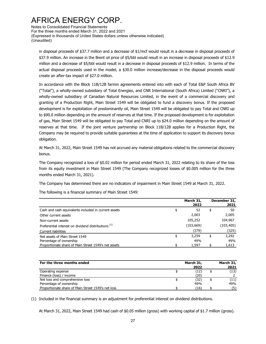Notes to Consolidated Financial Statements For the three months ended March 31, 2022 and 2021 (Expressed in thousands of United States dollars unless otherwise indicated) (Unaudited)

in disposal proceeds of \$37.7 million and a decrease of \$1/mcf would result in a decrease in disposal proceeds of \$37.9 million. An increase in the Brent oil price of \$5/bbl would result in an increase in disposal proceeds of \$12.9 million and a decrease of \$5/bbl would result in a decrease in disposal proceeds of \$12.9 million. In terms of the actual disposal proceeds used in the model, a \$30.0 million increase/decrease in the disposal proceeds would create an after-tax impact of \$27.0 million.

In accordance with the Block 11B/12B farmin agreements entered into with each of Total E&P South Africa BV ("Total"), a wholly-owned subsidiary of Total Energies, and CNR International (South Africa) Limited ("CNRI"), a wholly-owned subsidiary of Canadian Natural Resources Limited, in the event of a commercial discovery and granting of a Production Right, Main Street 1549 will be obligated to fund a discovery bonus. If the proposed development is for exploitation of predominantly oil, Main Street 1549 will be obligated to pay Total and CNRI up to \$90.0 million depending on the amount of reserves at that time. If the proposed development is for exploitation of gas, Main Street 1549 will be obligated to pay Total and CNRI up to \$24.0 million depending on the amount of reserves at that time. If the joint venture partnership on Block 11B/12B applies for a Production Right, the Company may be required to provide suitable guarantees at the time of application to support its discovery bonus obligation.

At March 31, 2022, Main Street 1549 has not accrued any material obligations related to the commercial discovery bonus.

The Company recognized a loss of \$0.02 million for period ended March 31, 2022 relating to its share of the loss from its equity investment in Main Street 1549 (The Company recognized losses of \$0.005 million for the three months ended March 31, 2021).

The Company has determined there are no indicators of impairment in Main Street 1549 at March 31, 2022.

The following is a financial summary of Main Street 1549:

|                                                      | March 31,<br>2022 | December 31,<br>2021 |
|------------------------------------------------------|-------------------|----------------------|
| Cash and cash equivalents included in current assets | \$<br>52          | \$<br>50             |
| Other current assets                                 | 2,003             | 2,005                |
| Non-current assets                                   | 105,252           | 104,967              |
| Preferential interest on dividend distributions (1)  | (103, 669)        | (103, 405)           |
| <b>Current liabilities</b>                           | (379)             | (325)                |
| Net assets of Main Street 1549                       | \$<br>3,259       | \$<br>3,292          |
| Percentage of ownership                              | 49%               | 49%                  |
| Proportionate share of Main Street 1549's net assets | 1,597             | 1,613                |

| For the three months ended                         | March 31,<br>2022 | March 31,<br>2021 |
|----------------------------------------------------|-------------------|-------------------|
| Operating expense                                  | (12)              | (13)              |
| Finance (loss) / income                            | (20)              |                   |
| Net loss and comprehensive loss                    | (32)              | (11)              |
| Percentage of ownership                            | 49%               | 49%               |
| Proportionate share of Main Street 1549's net loss | (16)              | (5)               |

(1) Included in the financial summary is an adjustment for preferential interest on dividend distributions.

At March 31, 2022, Main Street 1549 had cash of \$0.05 million (gross) with working capital of \$1.7 million (gross).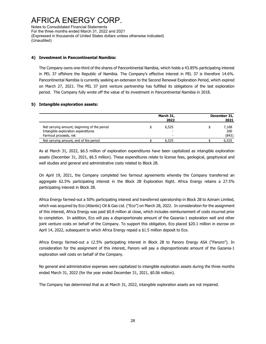Notes to Consolidated Financial Statements For the three months ended March 31, 2022 and 2021 (Expressed in thousands of United States dollars unless otherwise indicated) (Unaudited)

#### **4) Investment in Pancontinental Namibia:**

The Company owns one-third of the shares of Pancontinental Namibia, which holds a 43.85% participating interest in PEL 37 offshore the Republic of Namibia. The Company's effective interest in PEL 37 is therefore 14.6%. Pancontinental Namibia is currently seeking an extension to the Second Renewal Exploration Period, which expired on March 27, 2021. The PEL 37 joint venture partnership has fulfilled its obligations of the last exploration period. The Company fully wrote off the value of its investment in Pancontinental Namibia in 2018.

#### **5) Intangible exploration assets:**

|                                                                                                              | March 31,<br>2022 | December 31,<br>2021 |                       |  |  |
|--------------------------------------------------------------------------------------------------------------|-------------------|----------------------|-----------------------|--|--|
| Net carrying amount, beginning of the period<br>Intangible exploration expenditures<br>Farmout proceeds, net | 6,525<br>-        |                      | 7,168<br>200<br>(843) |  |  |
| Net carrying amount, end of the period                                                                       | 6.525             |                      | 6,525                 |  |  |

As at March 31, 2022, \$6.5 million of exploration expenditures have been capitalized as intangible exploration assets (December 31, 2021, \$6.5 million). These expenditures relate to license fees, geological, geophysical and well studies and general and administrative costs related to Block 2B.

On April 19, 2021, the Company completed two farmout agreements whereby the Company transferred an aggregate 62.5% participating interest in the Block 2B Exploration Right. Africa Energy retains a 27.5% participating interest in Block 2B.

Africa Energy farmed-out a 50% participating interest and transferred operatorship in Block 2B to Azinam Limited, which was acquired by Eco (Atlantic) Oil & Gas Ltd. ("Eco") on March 28, 2022. In consideration for the assignment of this interest, Africa Energy was paid \$0.8 million at close, which includes reimbursement of costs incurred prior to completion. In addition, Eco will pay a disproportionate amount of the Gazania-1 exploration well and other joint venture costs on behalf of the Company. To support this obligation, Eco placed \$20.1 million in escrow on April 14, 2022, subsequent to which Africa Energy repaid a \$1.5 million deposit to Eco.

Africa Energy farmed-out a 12.5% participating interest in Block 2B to Panoro Energy ASA ("Panoro"). In consideration for the assignment of this interest, Panoro will pay a disproportionate amount of the Gazania-1 exploration well costs on behalf of the Company.

No general and administrative expenses were capitalized to intangible exploration assets during the three months ended March 31, 2022 (for the year ended December 31, 2021, \$0.06 million).

The Company has determined that as at March 31, 2022, intangible exploration assets are not impaired.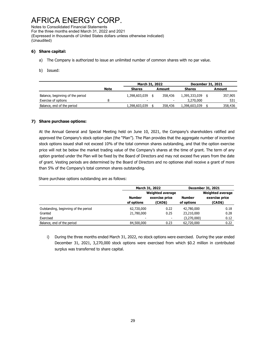Notes to Consolidated Financial Statements For the three months ended March 31, 2022 and 2021 (Expressed in thousands of United States dollars unless otherwise indicated) (Unaudited)

#### **6) Share capital:**

- a) The Company is authorized to issue an unlimited number of common shares with no par value.
- b) Issued:

|                                  |             | March 31, 2022 |  | <b>December 31, 2021</b> |               |         |
|----------------------------------|-------------|----------------|--|--------------------------|---------------|---------|
|                                  | <b>Note</b> | <b>Shares</b>  |  | Amount                   | <b>Shares</b> | Amount  |
| Balance, beginning of the period |             | 1,398,603,039  |  | 358,436                  | 1,395,333,039 | 357,905 |
| Exercise of options              | я           |                |  |                          | 3,270,000     | 531     |
| Balance, end of the period       |             | 1,398,603,039  |  | 358,436                  | 1,398,603,039 | 358,436 |

#### **7) Share purchase options:**

At the Annual General and Special Meeting held on June 10, 2021, the Company's shareholders ratified and approved the Company's stock option plan (the "Plan"). The Plan provides that the aggregate number of incentive stock options issued shall not exceed 10% of the total common shares outstanding, and that the option exercise price will not be below the market trading value of the Company's shares at the time of grant. The term of any option granted under the Plan will be fixed by the Board of Directors and may not exceed five years from the date of grant. Vesting periods are determined by the Board of Directors and no optionee shall receive a grant of more than 5% of the Company's total common shares outstanding.

Share purchase options outstanding are as follows:

|                                      |                          | March 31, 2022           |               | December 31, 2021       |  |  |  |
|--------------------------------------|--------------------------|--------------------------|---------------|-------------------------|--|--|--|
|                                      |                          | <b>Weighted average</b>  |               | <b>Weighted average</b> |  |  |  |
|                                      | <b>Number</b>            | exercise price           | <b>Number</b> | exercise price          |  |  |  |
|                                      | of options               | (CAD\$)                  | of options    | (CAD\$)                 |  |  |  |
| Outstanding, beginning of the period | 62,720,000               | 0.22                     | 42,780,000    | 0.18                    |  |  |  |
| Granted                              | 21,780,000               | 0.25                     | 23,210,000    | 0.28                    |  |  |  |
| Exercised                            | $\overline{\phantom{a}}$ | $\overline{\phantom{a}}$ | (3,270,000)   | 0.12                    |  |  |  |
| Balance, end of the period           | 84,500,000               | 0.23                     | 62,720,000    | 0.22                    |  |  |  |

i) During the three months ended March 31, 2022, no stock options were exercised. During the year ended December 31, 2021, 3,270,000 stock options were exercised from which \$0.2 million in contributed surplus was transferred to share capital.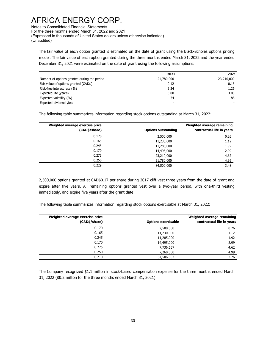Notes to Consolidated Financial Statements For the three months ended March 31, 2022 and 2021 (Expressed in thousands of United States dollars unless otherwise indicated) (Unaudited)

The fair value of each option granted is estimated on the date of grant using the Black-Scholes options pricing model. The fair value of each option granted during the three months ended March 31, 2022 and the year ended December 31, 2021 were estimated on the date of grant using the following assumptions:

|                                             | 2022                     | 2021       |
|---------------------------------------------|--------------------------|------------|
| Number of options granted during the period | 21,780,000               | 23,210,000 |
| Fair value of options granted (CAD\$)       | 0.12                     | 0.15       |
| Risk-free interest rate (%)                 | 2.24                     | 1.26       |
| Expected life (years)                       | 3.00                     | 3.00       |
| Expected volatility (%)                     | 74                       | 88         |
| Expected dividend yield                     | $\overline{\phantom{0}}$ |            |

The following table summarizes information regarding stock options outstanding at March 31, 2022:

| Weighted average exercise price<br>(CAD\$/share) | <b>Options outstanding</b> | Weighted average remaining<br>contractual life in years |
|--------------------------------------------------|----------------------------|---------------------------------------------------------|
| 0.170                                            | 2,500,000                  | 0.26                                                    |
| 0.165                                            | 11,230,000                 | 1.12                                                    |
| 0.245                                            | 11,285,000                 | 1.92                                                    |
| 0.170                                            | 14,495,000                 | 2.99                                                    |
| 0.275                                            | 23,210,000                 | 4.62                                                    |
| 0.250                                            | 21,780,000                 | 4.99                                                    |
| 0.229                                            | 84,500,000                 | 3.48                                                    |

2,500,000 options granted at CAD\$0.17 per share during 2017 cliff vest three years from the date of grant and expire after five years. All remaining options granted vest over a two-year period, with one-third vesting immediately, and expire five years after the grant date.

The following table summarizes information regarding stock options exercisable at March 31, 2022:

| Weighted average exercise price<br>(CAD\$/share) | <b>Options exercisable</b> | Weighted average remaining<br>contractual life in years |
|--------------------------------------------------|----------------------------|---------------------------------------------------------|
| 0.170                                            | 2,500,000                  | 0.26                                                    |
| 0.165                                            | 11,230,000                 | 1.12                                                    |
| 0.245                                            | 11,285,000                 | 1.92                                                    |
| 0.170                                            | 14,495,000                 | 2.99                                                    |
| 0.275                                            | 7,736,667                  | 4.62                                                    |
| 0.250                                            | 7,260,000                  | 4.99                                                    |
| 0.210                                            | 54,506,667                 | 2.76                                                    |

The Company recognized \$1.1 million in stock-based compensation expense for the three months ended March 31, 2022 (\$0.2 million for the three months ended March 31, 2021).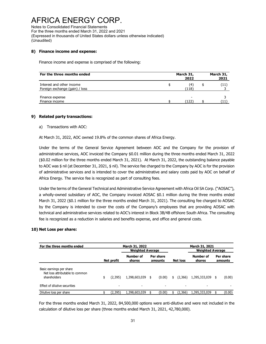Notes to Consolidated Financial Statements For the three months ended March 31, 2022 and 2021 (Expressed in thousands of United States dollars unless otherwise indicated) (Unaudited)

#### **8) Finance income and expense:**

Finance income and expense is comprised of the following:

| For the three months ended                                  | March 31,<br>2022 |              |  | March 31,<br>2021 |  |  |
|-------------------------------------------------------------|-------------------|--------------|--|-------------------|--|--|
| Interest and other income<br>Foreign exchange (gain) / loss |                   | (4)<br>(118) |  | (11)              |  |  |
| Finance expense<br>Finance income                           |                   | -<br>(122)   |  |                   |  |  |

#### **9) Related party transactions:**

a) Transactions with AOC:

At March 31, 2022, AOC owned 19.8% of the common shares of Africa Energy.

Under the terms of the General Service Agreement between AOC and the Company for the provision of administrative services, AOC invoiced the Company \$0.01 million during the three months ended March 31, 2022 (\$0.02 million for the three months ended March 31, 2021). At March 31, 2022, the outstanding balance payable to AOC was \$ nil (at December 31, 2021, \$ nil). The service fee charged to the Company by AOC is for the provision of administrative services and is intended to cover the administrative and salary costs paid by AOC on behalf of Africa Energy. The service fee is recognized as part of consulting fees.

Under the terms of the General Technical and Administrative Service Agreement with Africa Oil SA Corp. ("AOSAC"), a wholly-owned subsidiary of AOC, the Company invoiced AOSAC \$0.1 million during the three months ended March 31, 2022 (\$0.1 million for the three months ended March 31, 2021). The consulting fee charged to AOSAC by the Company is intended to cover the costs of the Company's employees that are providing AOSAC with technical and administrative services related to AOC's interest in Block 3B/4B offshore South Africa. The consulting fee is recognized as a reduction in salaries and benefits expense, and office and general costs.

#### **10) Net Loss per share:**

| For the three months ended                                                  | March 31, 2022 |                          |                            |                      | March 31, 2021           |                 |                          |                            |                      |                          |
|-----------------------------------------------------------------------------|----------------|--------------------------|----------------------------|----------------------|--------------------------|-----------------|--------------------------|----------------------------|----------------------|--------------------------|
|                                                                             |                |                          | <b>Weighted Average</b>    |                      |                          |                 |                          | <b>Weighted Average</b>    |                      |                          |
|                                                                             | Net profit     |                          | <b>Number of</b><br>shares | Per share<br>amounts |                          | <b>Net loss</b> |                          | <b>Number of</b><br>shares | Per share<br>amounts |                          |
| Basic earnings per share<br>Net loss attributable to common<br>shareholders |                | (2, 395)                 | 1,398,603,039              | \$                   | (0.00)                   | \$              | (2,366)                  | 1,395,333,039              | \$                   | (0.00)                   |
| Effect of dilutive securities                                               |                | $\overline{\phantom{0}}$ | $\overline{\phantom{0}}$   |                      | $\overline{\phantom{0}}$ |                 | $\overline{\phantom{a}}$ | $\overline{\phantom{a}}$   |                      | $\overline{\phantom{0}}$ |
| Dilutive loss per share                                                     |                | (2,395)                  | 1,398,603,039              |                      | (0.00)                   |                 | (2,366)                  | 1,395,333,039              |                      | (0.00)                   |

For the three months ended March 31, 2022, 84,500,000 options were anti-dilutive and were not included in the calculation of dilutive loss per share (three months ended March 31, 2021, 42,780,000).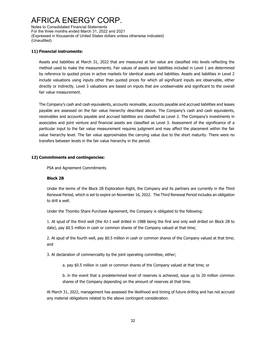Notes to Consolidated Financial Statements For the three months ended March 31, 2022 and 2021 (Expressed in thousands of United States dollars unless otherwise indicated) (Unaudited)

#### **11) Financial instruments:**

Assets and liabilities at March 31, 2022 that are measured at fair value are classified into levels reflecting the method used to make the measurements. Fair values of assets and liabilities included in Level 1 are determined by reference to quoted prices in active markets for identical assets and liabilities. Assets and liabilities in Level 2 include valuations using inputs other than quoted prices for which all significant inputs are observable, either directly or indirectly. Level 3 valuations are based on inputs that are unobservable and significant to the overall fair value measurement.

The Company's cash and cash equivalents, accounts receivable, accounts payable and accrued liabilities and leases payable are assessed on the fair value hierarchy described above. The Company's cash and cash equivalents, receivables and accounts payable and accrued liabilities are classified as Level 2. The Company's investments in associates and joint venture and financial assets are classified as Level 3. Assessment of the significance of a particular input to the fair value measurement requires judgment and may affect the placement within the fair value hierarchy level. The fair value approximates the carrying value due to the short maturity. There were no transfers between levels in the fair value hierarchy in the period.

#### **12) Commitments and contingencies:**

PSA and Agreement Commitments

#### **Block 2B**

Under the terms of the Block 2B Exploration Right, the Company and its partners are currently in the Third Renewal Period, which is set to expire on November 16, 2022. The Third Renewal Period includes an obligation to drill a well.

Under the Thombo Share Purchase Agreement, the Company is obligated to the following:

1. At spud of the third well (the AJ-1 well drilled in 1988 being the first and only well drilled on Block 2B to date), pay \$0.5 million in cash or common shares of the Company valued at that time;

2. At spud of the fourth well, pay \$0.5 million in cash or common shares of the Company valued at that time; and

3. At declaration of commerciality by the joint operating committee, either;

a. pay \$0.5 million in cash or common shares of the Company valued at that time; or

b. in the event that a predetermined level of reserves is achieved, issue up to 20 million common shares of the Company depending on the amount of reserves at that time.

At March 31, 2022, management has assessed the likelihood and timing of future drilling and has not accrued any material obligations related to the above contingent consideration.